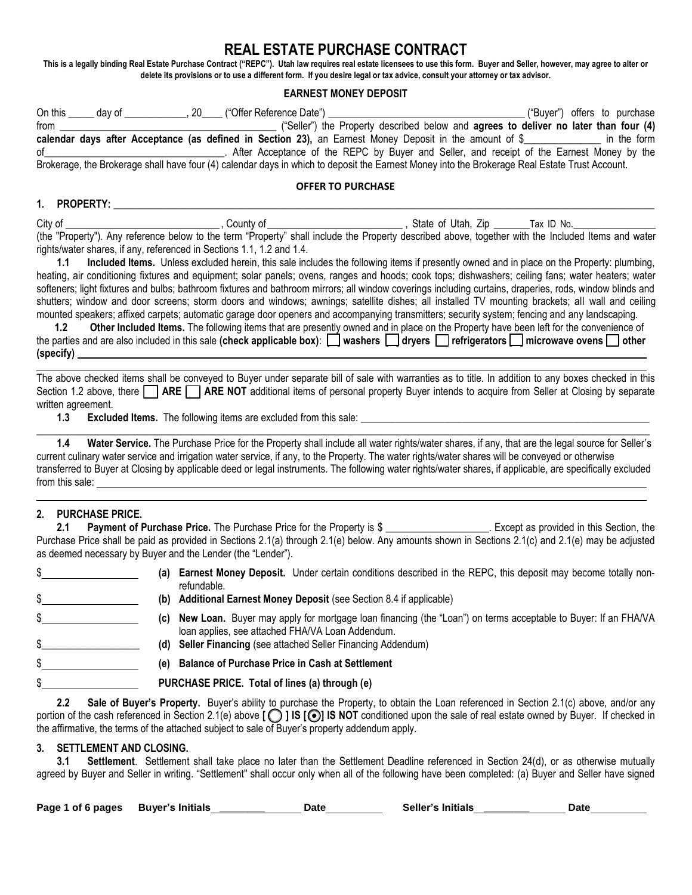# **REAL ESTATE PURCHASE CONTRACT**

**This is a legally binding Real Estate Purchase Contract ("REPC"). Utah law requires real estate licensees to use this form. Buyer and Seller, however, may agree to alter or delete its provisions or to use a different form. If you desire legal or tax advice, consult your attorney or tax advisor.** 

## **EARNEST MONEY DEPOSIT**

|            |                    |                                                                       | calendar days after Acceptance (as defined in Section 23), an Earnest Money Deposit in the amount of $\frac{1}{2}$ in the form                                                                                                                                                                                                                                                                                                                                                                                                                                                                                                                                                                                                                                                                                                                                                                                                                                                                                                                                                                                                                                                                                                   |                          |  |  |
|------------|--------------------|-----------------------------------------------------------------------|----------------------------------------------------------------------------------------------------------------------------------------------------------------------------------------------------------------------------------------------------------------------------------------------------------------------------------------------------------------------------------------------------------------------------------------------------------------------------------------------------------------------------------------------------------------------------------------------------------------------------------------------------------------------------------------------------------------------------------------------------------------------------------------------------------------------------------------------------------------------------------------------------------------------------------------------------------------------------------------------------------------------------------------------------------------------------------------------------------------------------------------------------------------------------------------------------------------------------------|--------------------------|--|--|
|            |                    |                                                                       | Brokerage, the Brokerage shall have four (4) calendar days in which to deposit the Earnest Money into the Brokerage Real Estate Trust Account.                                                                                                                                                                                                                                                                                                                                                                                                                                                                                                                                                                                                                                                                                                                                                                                                                                                                                                                                                                                                                                                                                   |                          |  |  |
|            |                    |                                                                       |                                                                                                                                                                                                                                                                                                                                                                                                                                                                                                                                                                                                                                                                                                                                                                                                                                                                                                                                                                                                                                                                                                                                                                                                                                  | <b>OFFER TO PURCHASE</b> |  |  |
|            |                    |                                                                       |                                                                                                                                                                                                                                                                                                                                                                                                                                                                                                                                                                                                                                                                                                                                                                                                                                                                                                                                                                                                                                                                                                                                                                                                                                  |                          |  |  |
| 1.1<br>1.2 |                    | rights/water shares, if any, referenced in Sections 1.1, 1.2 and 1.4. | (the "Property"). Any reference below to the term "Property" shall include the Property described above, together with the Included Items and water<br>Included Items. Unless excluded herein, this sale includes the following items if presently owned and in place on the Property: plumbing,<br>heating, air conditioning fixtures and equipment; solar panels; ovens, ranges and hoods; cook tops; dishwashers; ceiling fans; water heaters; water<br>softeners; light fixtures and bulbs; bathroom fixtures and bathroom mirrors; all window coverings including curtains, draperies, rods, window blinds and<br>shutters; window and door screens; storm doors and windows; awnings; satellite dishes; all installed TV mounting brackets; all wall and ceiling<br>mounted speakers; affixed carpets; automatic garage door openers and accompanying transmitters; security system; fencing and any landscaping.<br>Other Included Items. The following items that are presently owned and in place on the Property have been left for the convenience of<br>the parties and are also included in this sale (check applicable box): $\Box$ washers $\Box$ dryers $\Box$ refrigerators $\Box$ microwave ovens $\Box$ other |                          |  |  |
|            | written agreement. |                                                                       | The above checked items shall be conveyed to Buyer under separate bill of sale with warranties as to title. In addition to any boxes checked in this<br>Section 1.2 above, there <b>ARE ARE NOT</b> additional items of personal property Buyer intends to acquire from Seller at Closing by separate<br>13 Eveluded Heme The following items are eveluded from this sale:                                                                                                                                                                                                                                                                                                                                                                                                                                                                                                                                                                                                                                                                                                                                                                                                                                                       |                          |  |  |

**1.3 Excluded Items.** The following items are excluded from this sale: \_

**1.4 Water Service.** The Purchase Price for the Property shall include all water rights/water shares, if any, that are the legal source for Seller's current culinary water service and irrigation water service, if any, to the Property. The water rights/water shares will be conveyed or otherwise transferred to Buyer at Closing by applicable deed or legal instruments. The following water rights/water shares, if applicable, are specifically excluded from this sale:

 $\_$  , and the set of the set of the set of the set of the set of the set of the set of the set of the set of the set of the set of the set of the set of the set of the set of the set of the set of the set of the set of th

## **2. PURCHASE PRICE.**

**2.1 Payment of Purchase Price.** The Purchase Price for the Property is \$ . Except as provided in this Section, the Purchase Price shall be paid as provided in Sections 2.1(a) through 2.1(e) below. Any amounts shown in Sections 2.1(c) and 2.1(e) may be adjusted as deemed necessary by Buyer and the Lender (the "Lender").

| (a) Earnest Money Deposit. Under certain conditions described in the REPC, this deposit may become totally non-<br>refundable.                                       |
|----------------------------------------------------------------------------------------------------------------------------------------------------------------------|
| (b) Additional Earnest Money Deposit (see Section 8.4 if applicable)                                                                                                 |
| (c) New Loan. Buyer may apply for mortgage loan financing (the "Loan") on terms acceptable to Buyer: If an FHAVA<br>Ioan applies, see attached FHA/VA Loan Addendum. |
| (d) Seller Financing (see attached Seller Financing Addendum)                                                                                                        |
| (e) Balance of Purchase Price in Cash at Settlement                                                                                                                  |
| PURCHASE PRICE. Total of lines (a) through (e)                                                                                                                       |

**2.2 Sale of Buyer's Property.** Buyer's ability to purchase the Property, to obtain the Loan referenced in Section 2.1(c) above, and/or any portion of the cash referenced in Section 2.1(e) above **[O] IS [O] IS NOT** conditioned upon the sale of real estate owned by Buyer. If checked in the affirmative, the terms of the attached subject to sale of Buyer's property addendum apply.

## **3. SETTLEMENT AND CLOSING.**

**3.1 Settlement**. Settlement shall take place no later than the Settlement Deadline referenced in Section 24(d), or as otherwise mutually agreed by Buyer and Seller in writing. "Settlement" shall occur only when all of the following have been completed: (a) Buyer and Seller have signed

| Page 1 of 6 pages | Buyer's Initials | Date | Seller's Initials | Date |  |
|-------------------|------------------|------|-------------------|------|--|
|                   |                  |      |                   |      |  |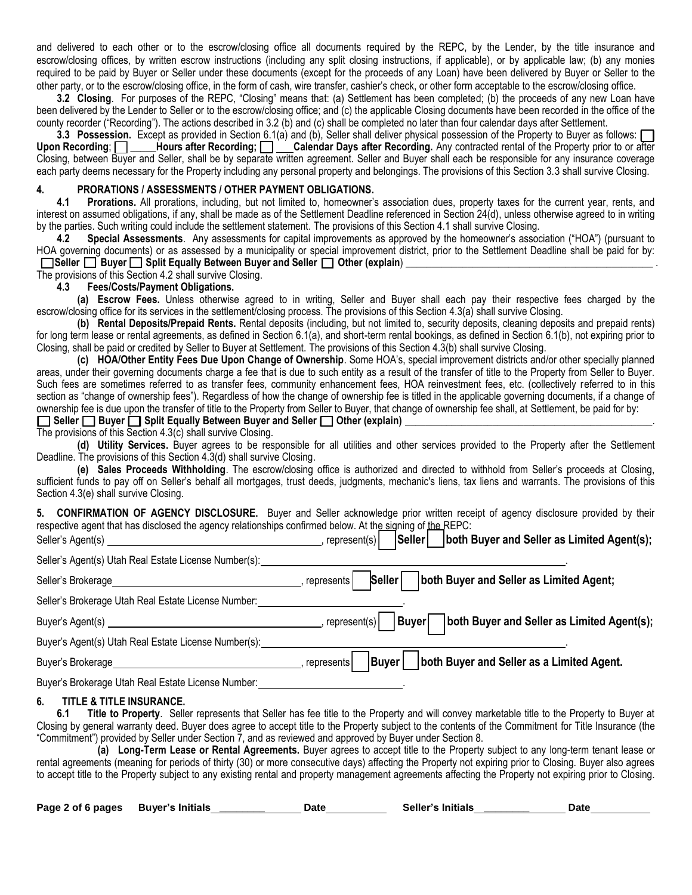and delivered to each other or to the escrow/closing office all documents required by the REPC, by the Lender, by the title insurance and escrow/closing offices, by written escrow instructions (including any split closing instructions, if applicable), or by applicable law; (b) any monies required to be paid by Buyer or Seller under these documents (except for the proceeds of any Loan) have been delivered by Buyer or Seller to the other party, or to the escrow/closing office, in the form of cash, wire transfer, cashier's check, or other form acceptable to the escrow/closing office.

**3.2 Closing**. For purposes of the REPC, "Closing" means that: (a) Settlement has been completed; (b) the proceeds of any new Loan have been delivered by the Lender to Seller or to the escrow/closing office; and (c) the applicable Closing documents have been recorded in the office of the county recorder ("Recording"). The actions described in 3.2 (b) and (c) shall be completed no later than four calendar days after Settlement.

**3.3 Possession.** Except as provided in Section 6.1(a) and (b), Seller shall deliver physical possession of the Property to Buyer as follows: **[** ] Upon Recording:  $\Box$  **Hours after Recording:**  $\Box$  Calendar Days after Rec **Hours after Recording; <u>[ ]</u> Calendar Days after Recording.** Any contracted rental of the Property prior to or after Closing, between Buyer and Seller, shall be by separate written agreement. Seller and Buyer shall each be responsible for any insurance coverage each party deems necessary for the Property including any personal property and belongings. The provisions of this Section 3.3 shall survive Closing.

#### **4. PRORATIONS / ASSESSMENTS / OTHER PAYMENT OBLIGATIONS.**

**4.1 Prorations.** All prorations, including, but not limited to, homeowner's association dues, property taxes for the current year, rents, and interest on assumed obligations, if any, shall be made as of the Settlement Deadline referenced in Section 24(d), unless otherwise agreed to in writing by the parties. Such writing could include the settlement statement. The provisions of this Section 4.1 shall survive Closing.

**4.2 Special Assessments**. Any assessments for capital improvements as approved by the homeowner's association ("HOA") (pursuant to HOA governing documents) or as assessed by a municipality or special improvement district, prior to the Settlement Deadline shall be paid for by: **Seller Buyer Split Equally Between Buyer and Seller**  $\Box$  **Other (explain)** 

## The provisions of this Section 4.2 shall survive Closing.

**4.3 Fees/Costs/Payment Obligations.**

**(a) Escrow Fees.** Unless otherwise agreed to in writing, Seller and Buyer shall each pay their respective fees charged by the escrow/closing office for its services in the settlement/closing process. The provisions of this Section 4.3(a) shall survive Closing.

**(b) Rental Deposits/Prepaid Rents.** Rental deposits (including, but not limited to, security deposits, cleaning deposits and prepaid rents) for long term lease or rental agreements, as defined in Section 6.1(a), and short-term rental bookings, as defined in Section 6.1(b), not expiring prior to Closing, shall be paid or credited by Seller to Buyer at Settlement. The provisions of this Section 4.3(b) shall survive Closing.

**(c) HOA/Other Entity Fees Due Upon Change of Ownership**. Some HOA's, special improvement districts and/or other specially planned areas, under their governing documents charge a fee that is due to such entity as a result of the transfer of title to the Property from Seller to Buyer. Such fees are sometimes referred to as transfer fees, community enhancement fees, HOA reinvestment fees, etc. (collectively referred to in this section as "change of ownership fees"). Regardless of how the change of ownership fee is titled in the applicable governing documents, if a change of ownership fee is due upon the transfer of title to the Property from Seller to Buyer, that change of ownership fee shall, at Settlement, be paid for by:

 $\Box$  Seller  $\Box$  Buyer  $\Box$  Split Equally Between Buyer and Seller  $\Box$  Other (explain)

The provisions of this Section 4.3(c) shall survive Closing.

**(d) Utility Services.** Buyer agrees to be responsible for all utilities and other services provided to the Property after the Settlement Deadline. The provisions of this Section 4.3(d) shall survive Closing.

**(e) Sales Proceeds Withholding**. The escrow/closing office is authorized and directed to withhold from Seller's proceeds at Closing, sufficient funds to pay off on Seller's behalf all mortgages, trust deeds, judgments, mechanic's liens, tax liens and warrants. The provisions of this Section 4.3(e) shall survive Closing.

**5. CONFIRMATION OF AGENCY DISCLOSURE.** Buyer and Seller acknowledge prior written receipt of agency disclosure provided by their respective agent that has disclosed the agency relationships confirmed below. At the signing of the REPC:

| Seller's Agent(s)                                     | Seller<br>both Buyer and Seller as Limited Agent(s);<br>represent(s)   |
|-------------------------------------------------------|------------------------------------------------------------------------|
| Seller's Agent(s) Utah Real Estate License Number(s): |                                                                        |
| Seller's Brokerage                                    | both Buyer and Seller as Limited Agent;<br>Seller<br>represents        |
| Seller's Brokerage Utah Real Estate License Number:   |                                                                        |
| Buyer's Agent(s)                                      | Buyer  both Buyer and Seller as Limited Agent(s);<br>, represent $(s)$ |
| Buyer's Agent(s) Utah Real Estate License Number(s):  |                                                                        |
| Buyer's Brokerage                                     | Buyer   both Buyer and Seller as a Limited Agent.<br>represents        |
| Buyer's Brokerage Utah Real Estate License Number:    |                                                                        |

#### **6. TITLE & TITLE INSURANCE.**

**6.1 Title to Property**. Seller represents that Seller has fee title to the Property and will convey marketable title to the Property to Buyer at Closing by general warranty deed. Buyer does agree to accept title to the Property subject to the contents of the Commitment for Title Insurance (the "Commitment") provided by Seller under Section 7, and as reviewed and approved by Buyer under Section 8.

**(a) Long-Term Lease or Rental Agreements.** Buyer agrees to accept title to the Property subject to any long-term tenant lease or rental agreements (meaning for periods of thirty (30) or more consecutive days) affecting the Property not expiring prior to Closing. Buyer also agrees to accept title to the Property subject to any existing rental and property management agreements affecting the Property not expiring prior to Closing.

| Page 2 of 6 pages | <b>Buver's Initials</b> | Date | Seller's Initials | Date |
|-------------------|-------------------------|------|-------------------|------|
|                   |                         |      |                   |      |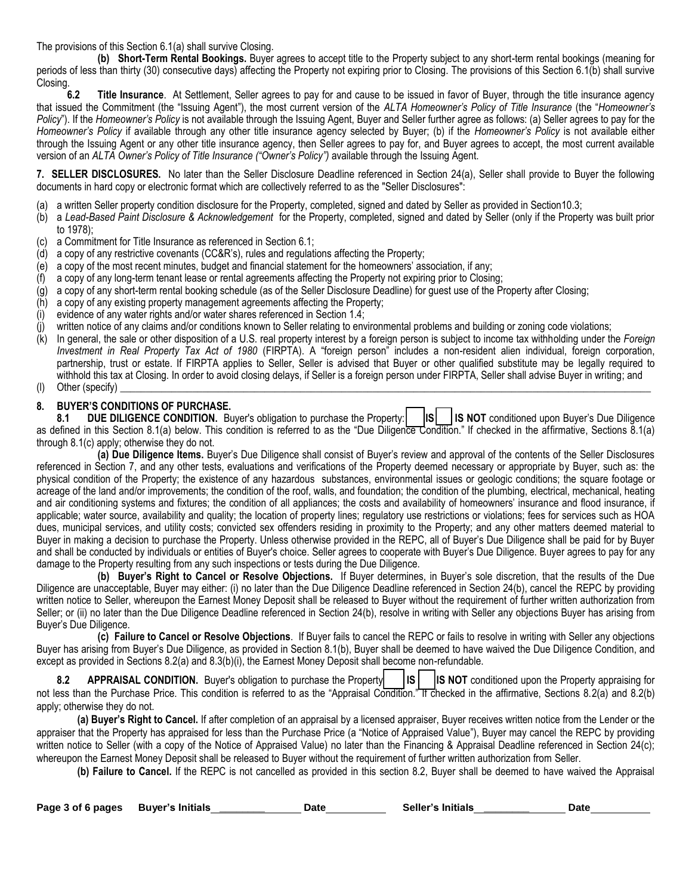The provisions of this Section 6.1(a) shall survive Closing.

**(b) Short-Term Rental Bookings.** Buyer agrees to accept title to the Property subject to any short-term rental bookings (meaning for periods of less than thirty (30) consecutive days) affecting the Property not expiring prior to Closing. The provisions of this Section 6.1(b) shall survive **Closing** 

**6.2 Title Insurance**. At Settlement, Seller agrees to pay for and cause to be issued in favor of Buyer, through the title insurance agency that issued the Commitment (the "Issuing Agent"), the most current version of the *ALTA Homeowner's Policy of Title Insurance* (the "*Homeowner's Policy*"). If the *Homeowner's Policy* is not available through the Issuing Agent, Buyer and Seller further agree as follows: (a) Seller agrees to pay for the *Homeowner's Policy* if available through any other title insurance agency selected by Buyer; (b) if the *Homeowner's Policy* is not available either through the Issuing Agent or any other title insurance agency, then Seller agrees to pay for, and Buyer agrees to accept, the most current available version of an *ALTA Owner's Policy of Title Insurance ("Owner's Policy")* available through the Issuing Agent.

**7. SELLER DISCLOSURES.** No later than the Seller Disclosure Deadline referenced in Section 24(a), Seller shall provide to Buyer the following documents in hard copy or electronic format which are collectively referred to as the "Seller Disclosures":

- (a) a written Seller property condition disclosure for the Property, completed, signed and dated by Seller as provided in Section10.3;
- (b) a *Lead-Based Paint Disclosure & Acknowledgement* for the Property, completed, signed and dated by Seller (only if the Property was built prior to 1978);
- (c) a Commitment for Title Insurance as referenced in Section 6.1;
- (d) a copy of any restrictive covenants (CC&R's), rules and regulations affecting the Property;
- (e) a copy of the most recent minutes, budget and financial statement for the homeowners' association, if any;
- (f) a copy of any long-term tenant lease or rental agreements affecting the Property not expiring prior to Closing;
- (g) a copy of any short-term rental booking schedule (as of the Seller Disclosure Deadline) for guest use of the Property after Closing;
- (h) a copy of any existing property management agreements affecting the Property;
- (i) evidence of any water rights and/or water shares referenced in Section 1.4;
- (j) written notice of any claims and/or conditions known to Seller relating to environmental problems and building or zoning code violations;
- (k) In general, the sale or other disposition of a U.S. real property interest by a foreign person is subject to income tax withholding under the *Foreign Investment in Real Property Tax Act of 1980* (FIRPTA). A "foreign person" includes a non-resident alien individual, foreign corporation, partnership, trust or estate. If FIRPTA applies to Seller, Seller is advised that Buyer or other qualified substitute may be legally required to withhold this tax at Closing. In order to avoid closing delays, if Seller is a foreign person under FIRPTA, Seller shall advise Buyer in writing; and
- $(l)$  Other (specify)

## **8. BUYER'S CONDITIONS OF PURCHASE.**

8.1 DUE DILIGENCE CONDITION. Buyer's obligation to purchase the Property: | |S| |IS NOT conditioned upon Buyer's Due Diligence as defined in this Section 8.1(a) below. This condition is referred to as the "Due Diligence Condition." If checked in the affirmative, Sections 8.1(a) through 8.1(c) apply; otherwise they do not.

**(a) Due Diligence Items.** Buyer's Due Diligence shall consist of Buyer's review and approval of the contents of the Seller Disclosures referenced in Section 7, and any other tests, evaluations and verifications of the Property deemed necessary or appropriate by Buyer, such as: the physical condition of the Property; the existence of any hazardous substances, environmental issues or geologic conditions; the square footage or acreage of the land and/or improvements; the condition of the roof, walls, and foundation; the condition of the plumbing, electrical, mechanical, heating and air conditioning systems and fixtures; the condition of all appliances; the costs and availability of homeowners' insurance and flood insurance, if applicable; water source, availability and quality; the location of property lines; regulatory use restrictions or violations; fees for services such as HOA dues, municipal services, and utility costs; convicted sex offenders residing in proximity to the Property; and any other matters deemed material to Buyer in making a decision to purchase the Property. Unless otherwise provided in the REPC, all of Buyer's Due Diligence shall be paid for by Buyer and shall be conducted by individuals or entities of Buyer's choice. Seller agrees to cooperate with Buyer's Due Diligence. Buyer agrees to pay for any damage to the Property resulting from any such inspections or tests during the Due Diligence.

**(b) Buyer's Right to Cancel or Resolve Objections.** If Buyer determines, in Buyer's sole discretion, that the results of the Due Diligence are unacceptable, Buyer may either: (i) no later than the Due Diligence Deadline referenced in Section 24(b), cancel the REPC by providing written notice to Seller, whereupon the Earnest Money Deposit shall be released to Buyer without the requirement of further written authorization from Seller; or (ii) no later than the Due Diligence Deadline referenced in Section 24(b), resolve in writing with Seller any objections Buyer has arising from Buyer's Due Diligence.

**(c) Failure to Cancel or Resolve Objections**. If Buyer fails to cancel the REPC or fails to resolve in writing with Seller any objections Buyer has arising from Buyer's Due Diligence, as provided in Section 8.1(b), Buyer shall be deemed to have waived the Due Diligence Condition, and except as provided in Sections 8.2(a) and 8.3(b)(i), the Earnest Money Deposit shall become non-refundable.

**8.2** APPRAISAL CONDITION. Buyer's obligation to purchase the Property: **15 | ISNOT** conditioned upon the Property appraising for not less than the Purchase Price. This condition is referred to as the "Appraisal Condition." If checked in the affirmative, Sections 8.2(a) and 8.2(b) apply; otherwise they do not.

**(a) Buyer's Right to Cancel.** If after completion of an appraisal by a licensed appraiser, Buyer receives written notice from the Lender or the appraiser that the Property has appraised for less than the Purchase Price (a "Notice of Appraised Value"), Buyer may cancel the REPC by providing written notice to Seller (with a copy of the Notice of Appraised Value) no later than the Financing & Appraisal Deadline referenced in Section 24(c); whereupon the Earnest Money Deposit shall be released to Buyer without the requirement of further written authorization from Seller.

**(b) Failure to Cancel.** If the REPC is not cancelled as provided in this section 8.2, Buyer shall be deemed to have waived the Appraisal

| Page 3 of 6 pages | Buyer's Initials | Date | Seller's Initials | Date |  |
|-------------------|------------------|------|-------------------|------|--|
|                   |                  |      |                   |      |  |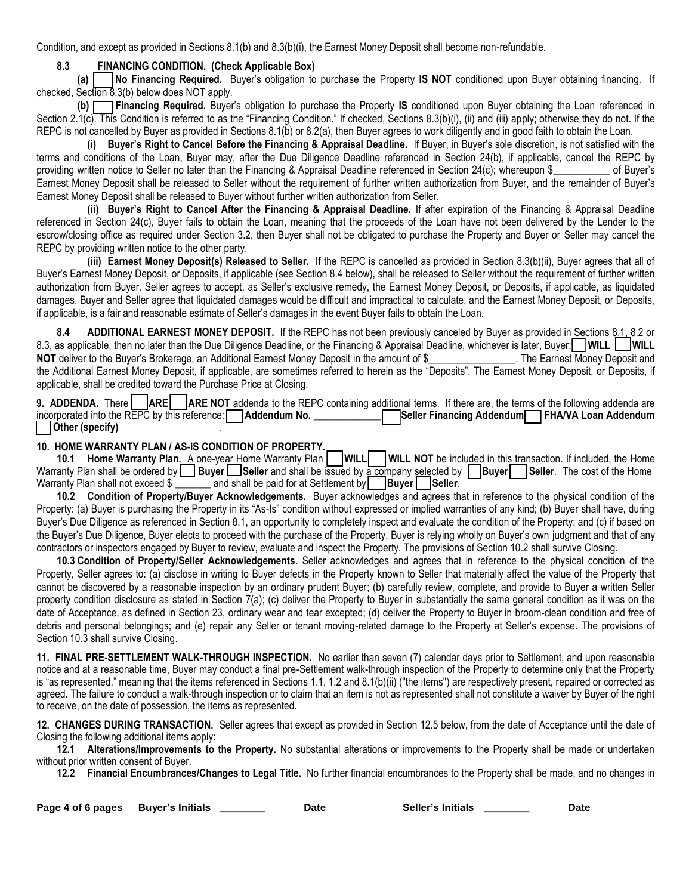Condition, and except as provided in Sections 8.1(b) and 8.3(b)(i), the Earnest Money Deposit shall become non-refundable.

## **8.3 FINANCING CONDITION. (Check Applicable Box)**

**(a) [ ] No Financing Required.** Buyer's obligation to purchase the Property **IS NOT** conditioned upon Buyer obtaining financing. If checked, Section 8.3(b) below does NOT apply.

**(b) [ ] Financing Required.** Buyer's obligation to purchase the Property **IS** conditioned upon Buyer obtaining the Loan referenced in Section 2.1(c). This Condition is referred to as the "Financing Condition." If checked, Sections 8.3(b)(i), (ii) and (iii) apply; otherwise they do not. If the REPC is not cancelled by Buyer as provided in Sections 8.1(b) or 8.2(a), then Buyer agrees to work diligently and in good faith to obtain the Loan.

**(i) Buyer's Right to Cancel Before the Financing & Appraisal Deadline.** If Buyer, in Buyer's sole discretion, is not satisfied with the terms and conditions of the Loan, Buyer may, after the Due Diligence Deadline referenced in Section 24(b), if applicable, cancel the REPC by providing written notice to Seller no later than the Financing & Appraisal Deadline referenced in Section 24(c); whereupon \$ of Buyer's Earnest Money Deposit shall be released to Seller without the requirement of further written authorization from Buyer, and the remainder of Buyer's Earnest Money Deposit shall be released to Buyer without further written authorization from Seller.

**(ii) Buyer's Right to Cancel After the Financing & Appraisal Deadline.** If after expiration of the Financing & Appraisal Deadline referenced in Section 24(c), Buyer fails to obtain the Loan, meaning that the proceeds of the Loan have not been delivered by the Lender to the escrow/closing office as required under Section 3.2, then Buyer shall not be obligated to purchase the Property and Buyer or Seller may cancel the REPC by providing written notice to the other party.

**(iii) Earnest Money Deposit(s) Released to Seller.** If the REPC is cancelled as provided in Section 8.3(b)(ii), Buyer agrees that all of Buyer's Earnest Money Deposit, or Deposits, if applicable (see Section 8.4 below), shall be released to Seller without the requirement of further written authorization from Buyer. Seller agrees to accept, as Seller's exclusive remedy, the Earnest Money Deposit, or Deposits, if applicable, as liquidated damages. Buyer and Seller agree that liquidated damages would be difficult and impractical to calculate, and the Earnest Money Deposit, or Deposits, if applicable, is a fair and reasonable estimate of Seller's damages in the event Buyer fails to obtain the Loan.

**8.4 ADDITIONAL EARNEST MONEY DEPOSIT.** If the REPC has not been previously canceled by Buyer as provided in Sections 8.1, 8.2 or 8.3, as applicable, then no later than the Due Diligence Deadline, or the Financing & Appraisal Deadline, whichever is later, Buyer: **WILL** WILL **NOT** deliver to the Buyer's Brokerage, an Additional Earnest Money Deposit in the amount of \$ The Earnest Money Deposit and the Additional Earnest Money Deposit, if applicable, are sometimes referred to herein as the "Deposits". The Earnest Money Deposit, or Deposits, if applicable, shall be credited toward the Purchase Price at Closing.

| 9. ADDENDA. There   ARE   ARE NOT addenda to the REPC containing additional terms. If there are, the terms of the following addenda are |  |  |  |                                                |
|-----------------------------------------------------------------------------------------------------------------------------------------|--|--|--|------------------------------------------------|
| incorporated into the REPC by this reference: <b>Addendum No.</b>                                                                       |  |  |  | Seller Financing Addendum FHA/VA Loan Addendum |
| Other (specify)                                                                                                                         |  |  |  |                                                |

## **10. HOME WARRANTY PLAN / AS-IS CONDITION OF PROPERTY.**

10.1 **Home Warranty Plan.** A one-year Home Warranty Plan **WILL** WILL NOT be included in this transaction. If included, the Home Warranty Plan shall be ordered by **Buyer Seller** and shall be issued by a company selected by **Buyer Seller**. The cost of the Home Warranty Plan shall not exceed  $\sqrt{s}$  and shall be paid for at Settlement by **Buyer** Seller.

**10.2 Condition of Property/Buyer Acknowledgements.** Buyer acknowledges and agrees that in reference to the physical condition of the Property: (a) Buyer is purchasing the Property in its "As-Is" condition without expressed or implied warranties of any kind; (b) Buyer shall have, during Buyer's Due Diligence as referenced in Section 8.1, an opportunity to completely inspect and evaluate the condition of the Property; and (c) if based on the Buyer's Due Diligence, Buyer elects to proceed with the purchase of the Property, Buyer is relying wholly on Buyer's own judgment and that of any contractors or inspectors engaged by Buyer to review, evaluate and inspect the Property. The provisions of Section 10.2 shall survive Closing.

**10.3 Condition of Property/Seller Acknowledgements**. Seller acknowledges and agrees that in reference to the physical condition of the Property, Seller agrees to: (a) disclose in writing to Buyer defects in the Property known to Seller that materially affect the value of the Property that cannot be discovered by a reasonable inspection by an ordinary prudent Buyer; (b) carefully review, complete, and provide to Buyer a written Seller property condition disclosure as stated in Section 7(a); (c) deliver the Property to Buyer in substantially the same general condition as it was on the date of Acceptance, as defined in Section 23, ordinary wear and tear excepted; (d) deliver the Property to Buyer in broom-clean condition and free of debris and personal belongings; and (e) repair any Seller or tenant moving-related damage to the Property at Seller's expense*.* The provisions of Section 10.3 shall survive Closing.

**11. FINAL PRE-SETTLEMENT WALK-THROUGH INSPECTION.** No earlier than seven (7) calendar days prior to Settlement, and upon reasonable notice and at a reasonable time, Buyer may conduct a final pre-Settlement walk-through inspection of the Property to determine only that the Property is "as represented," meaning that the items referenced in Sections 1.1, 1.2 and 8.1(b)(ii) ("the items") are respectively present, repaired or corrected as agreed. The failure to conduct a walk-through inspection or to claim that an item is not as represented shall not constitute a waiver by Buyer of the right to receive, on the date of possession, the items as represented.

**12. CHANGES DURING TRANSACTION.** Seller agrees that except as provided in Section 12.5 below, from the date of Acceptance until the date of Closing the following additional items apply:

**12.1 Alterations/Improvements to the Property.** No substantial alterations or improvements to the Property shall be made or undertaken without prior written consent of Buyer.

**12.2 Financial Encumbrances/Changes to Legal Title.** No further financial encumbrances to the Property shall be made, and no changes in

| Page 4 of 6 pages | <b>Buyer's Initials</b> | <b>Date</b> | Seller's Initials | Date |
|-------------------|-------------------------|-------------|-------------------|------|
|-------------------|-------------------------|-------------|-------------------|------|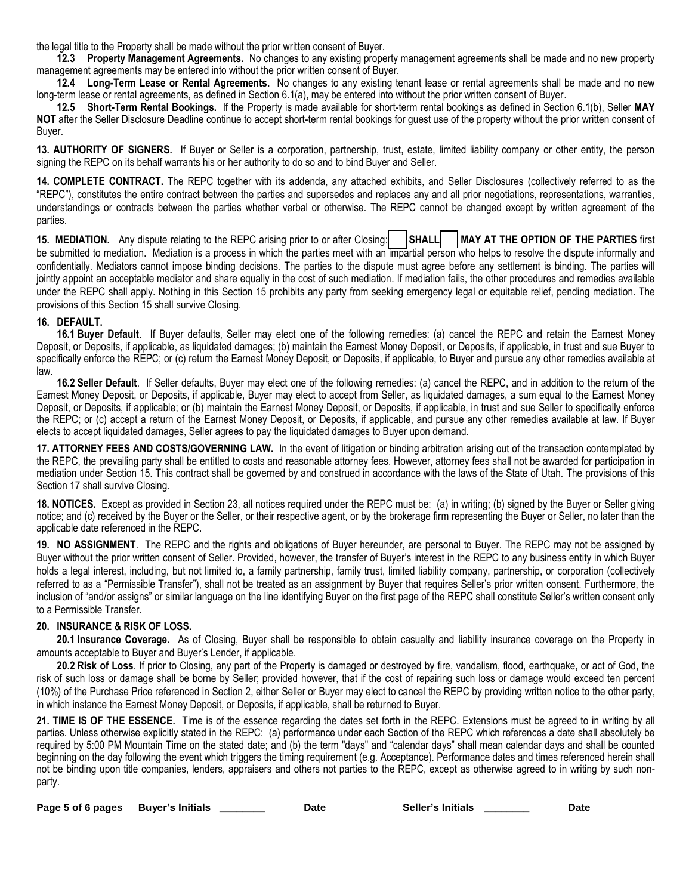the legal title to the Property shall be made without the prior written consent of Buyer.

**12.3 Property Management Agreements.** No changes to any existing property management agreements shall be made and no new property management agreements may be entered into without the prior written consent of Buyer.

**12.4 Long-Term Lease or Rental Agreements.** No changes to any existing tenant lease or rental agreements shall be made and no new long-term lease or rental agreements, as defined in Section 6.1(a), may be entered into without the prior written consent of Buyer.

**12.5 Short-Term Rental Bookings.** If the Property is made available for short-term rental bookings as defined in Section 6.1(b), Seller **MAY NOT** after the Seller Disclosure Deadline continue to accept short-term rental bookings for guest use of the property without the prior written consent of Buyer.

**13. AUTHORITY OF SIGNERS.** If Buyer or Seller is a corporation, partnership, trust, estate, limited liability company or other entity, the person signing the REPC on its behalf warrants his or her authority to do so and to bind Buyer and Seller.

**14. COMPLETE CONTRACT.** The REPC together with its addenda, any attached exhibits, and Seller Disclosures (collectively referred to as the "REPC"), constitutes the entire contract between the parties and supersedes and replaces any and all prior negotiations, representations, warranties, understandings or contracts between the parties whether verbal or otherwise. The REPC cannot be changed except by written agreement of the parties.

15. MEDIATION. Any dispute relating to the REPC arising prior to or after Closing: **| SHALL | MAY AT THE OPTION OF THE PARTIES** first be submitted to mediation. Mediation is a process in which the parties meet with an impartial person who helps to resolve the dispute informally and confidentially. Mediators cannot impose binding decisions. The parties to the dispute must agree before any settlement is binding. The parties will jointly appoint an acceptable mediator and share equally in the cost of such mediation. If mediation fails, the other procedures and remedies available under the REPC shall apply. Nothing in this Section 15 prohibits any party from seeking emergency legal or equitable relief, pending mediation. The provisions of this Section 15 shall survive Closing.

#### **16. DEFAULT.**

**16.1 Buyer Default**. If Buyer defaults, Seller may elect one of the following remedies: (a) cancel the REPC and retain the Earnest Money Deposit, or Deposits, if applicable, as liquidated damages; (b) maintain the Earnest Money Deposit, or Deposits, if applicable, in trust and sue Buyer to specifically enforce the REPC; or (c) return the Earnest Money Deposit, or Deposits, if applicable, to Buyer and pursue any other remedies available at law.

**16.2 Seller Default**. If Seller defaults, Buyer may elect one of the following remedies: (a) cancel the REPC, and in addition to the return of the Earnest Money Deposit, or Deposits, if applicable, Buyer may elect to accept from Seller, as liquidated damages, a sum equal to the Earnest Money Deposit, or Deposits, if applicable; or (b) maintain the Earnest Money Deposit, or Deposits, if applicable, in trust and sue Seller to specifically enforce the REPC; or (c) accept a return of the Earnest Money Deposit, or Deposits, if applicable, and pursue any other remedies available at law. If Buyer elects to accept liquidated damages, Seller agrees to pay the liquidated damages to Buyer upon demand.

**17. ATTORNEY FEES AND COSTS/GOVERNING LAW.** In the event of litigation or binding arbitration arising out of the transaction contemplated by the REPC, the prevailing party shall be entitled to costs and reasonable attorney fees. However, attorney fees shall not be awarded for participation in mediation under Section 15. This contract shall be governed by and construed in accordance with the laws of the State of Utah. The provisions of this Section 17 shall survive Closing.

**18. NOTICES.** Except as provided in Section 23, all notices required under the REPC must be: (a) in writing; (b) signed by the Buyer or Seller giving notice; and (c) received by the Buyer or the Seller, or their respective agent, or by the brokerage firm representing the Buyer or Seller, no later than the applicable date referenced in the REPC.

**19. NO ASSIGNMENT**. The REPC and the rights and obligations of Buyer hereunder, are personal to Buyer. The REPC may not be assigned by Buyer without the prior written consent of Seller. Provided, however, the transfer of Buyer's interest in the REPC to any business entity in which Buyer holds a legal interest, including, but not limited to, a family partnership, family trust, limited liability company, partnership, or corporation (collectively referred to as a "Permissible Transfer"), shall not be treated as an assignment by Buyer that requires Seller's prior written consent. Furthermore, the inclusion of "and/or assigns" or similar language on the line identifying Buyer on the first page of the REPC shall constitute Seller's written consent only to a Permissible Transfer.

## **20. INSURANCE & RISK OF LOSS.**

**20.1 Insurance Coverage.** As of Closing, Buyer shall be responsible to obtain casualty and liability insurance coverage on the Property in amounts acceptable to Buyer and Buyer's Lender, if applicable.

**20.2 Risk of Loss**. If prior to Closing, any part of the Property is damaged or destroyed by fire, vandalism, flood, earthquake, or act of God, the risk of such loss or damage shall be borne by Seller; provided however, that if the cost of repairing such loss or damage would exceed ten percent (10%) of the Purchase Price referenced in Section 2, either Seller or Buyer may elect to cancel the REPC by providing written notice to the other party, in which instance the Earnest Money Deposit, or Deposits, if applicable, shall be returned to Buyer.

**21. TIME IS OF THE ESSENCE.** Time is of the essence regarding the dates set forth in the REPC. Extensions must be agreed to in writing by all parties. Unless otherwise explicitly stated in the REPC: (a) performance under each Section of the REPC which references a date shall absolutely be required by 5:00 PM Mountain Time on the stated date; and (b) the term "days" and "calendar days" shall mean calendar days and shall be counted beginning on the day following the event which triggers the timing requirement (e.g. Acceptance). Performance dates and times referenced herein shall not be binding upon title companies, lenders, appraisers and others not parties to the REPC, except as otherwise agreed to in writing by such nonparty.

| Page 5 of 6 pages | <b>Buyer's Initials</b> | Date | <b>Seller's Initials</b> | Date |
|-------------------|-------------------------|------|--------------------------|------|
|                   |                         |      |                          |      |